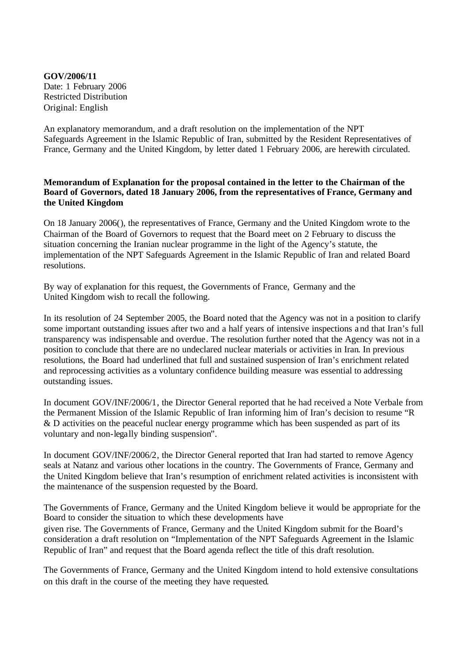**GOV/2006/11** Date: 1 February 2006 Restricted Distribution Original: English

An explanatory memorandum, and a draft resolution on the implementation of the NPT Safeguards Agreement in the Islamic Republic of Iran, submitted by the Resident Representatives of France, Germany and the United Kingdom, by letter dated 1 February 2006, are herewith circulated.

## **Memorandum of Explanation for the proposal contained in the letter to the Chairman of the Board of Governors, dated 18 January 2006, from the representatives of France, Germany and the United Kingdom**

On 18 January 2006(), the representatives of France, Germany and the United Kingdom wrote to the Chairman of the Board of Governors to request that the Board meet on 2 February to discuss the situation concerning the Iranian nuclear programme in the light of the Agency's statute, the implementation of the NPT Safeguards Agreement in the Islamic Republic of Iran and related Board resolutions.

By way of explanation for this request, the Governments of France, Germany and the United Kingdom wish to recall the following.

In its resolution of 24 September 2005, the Board noted that the Agency was not in a position to clarify some important outstanding issues after two and a half years of intensive inspections and that Iran's full transparency was indispensable and overdue. The resolution further noted that the Agency was not in a position to conclude that there are no undeclared nuclear materials or activities in Iran. In previous resolutions, the Board had underlined that full and sustained suspension of Iran's enrichment related and reprocessing activities as a voluntary confidence building measure was essential to addressing outstanding issues.

In document GOV/INF/2006/1, the Director General reported that he had received a Note Verbale from the Permanent Mission of the Islamic Republic of Iran informing him of Iran's decision to resume "R & D activities on the peaceful nuclear energy programme which has been suspended as part of its voluntary and non-legally binding suspension".

In document GOV/INF/2006/2, the Director General reported that Iran had started to remove Agency seals at Natanz and various other locations in the country. The Governments of France, Germany and the United Kingdom believe that Iran's resumption of enrichment related activities is inconsistent with the maintenance of the suspension requested by the Board.

The Governments of France, Germany and the United Kingdom believe it would be appropriate for the Board to consider the situation to which these developments have given rise. The Governments of France, Germany and the United Kingdom submit for the Board's consideration a draft resolution on "Implementation of the NPT Safeguards Agreement in the Islamic Republic of Iran" and request that the Board agenda reflect the title of this draft resolution.

The Governments of France, Germany and the United Kingdom intend to hold extensive consultations on this draft in the course of the meeting they have requested.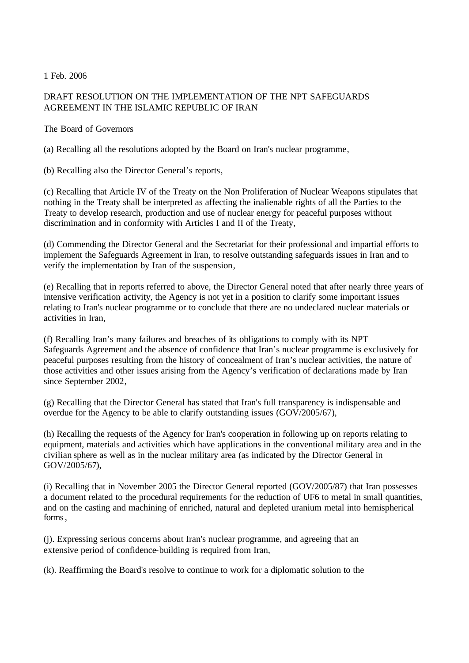1 Feb. 2006

## DRAFT RESOLUTION ON THE IMPLEMENTATION OF THE NPT SAFEGUARDS AGREEMENT IN THE ISLAMIC REPUBLIC OF IRAN

The Board of Governors

(a) Recalling all the resolutions adopted by the Board on Iran's nuclear programme,

(b) Recalling also the Director General's reports,

(c) Recalling that Article IV of the Treaty on the Non Proliferation of Nuclear Weapons stipulates that nothing in the Treaty shall be interpreted as affecting the inalienable rights of all the Parties to the Treaty to develop research, production and use of nuclear energy for peaceful purposes without discrimination and in conformity with Articles I and II of the Treaty,

(d) Commending the Director General and the Secretariat for their professional and impartial efforts to implement the Safeguards Agreement in Iran, to resolve outstanding safeguards issues in Iran and to verify the implementation by Iran of the suspension,

(e) Recalling that in reports referred to above, the Director General noted that after nearly three years of intensive verification activity, the Agency is not yet in a position to clarify some important issues relating to Iran's nuclear programme or to conclude that there are no undeclared nuclear materials or activities in Iran,

(f) Recalling Iran's many failures and breaches of its obligations to comply with its NPT Safeguards Agreement and the absence of confidence that Iran's nuclear programme is exclusively for peaceful purposes resulting from the history of concealment of Iran's nuclear activities, the nature of those activities and other issues arising from the Agency's verification of declarations made by Iran since September 2002,

(g) Recalling that the Director General has stated that Iran's full transparency is indispensable and overdue for the Agency to be able to clarify outstanding issues (GOV/2005/67),

(h) Recalling the requests of the Agency for Iran's cooperation in following up on reports relating to equipment, materials and activities which have applications in the conventional military area and in the civilian sphere as well as in the nuclear military area (as indicated by the Director General in GOV/2005/67),

(i) Recalling that in November 2005 the Director General reported (GOV/2005/87) that Iran possesses a document related to the procedural requirements for the reduction of UF6 to metal in small quantities, and on the casting and machining of enriched, natural and depleted uranium metal into hemispherical forms.

(j). Expressing serious concerns about Iran's nuclear programme, and agreeing that an extensive period of confidence-building is required from Iran,

(k). Reaffirming the Board's resolve to continue to work for a diplomatic solution to the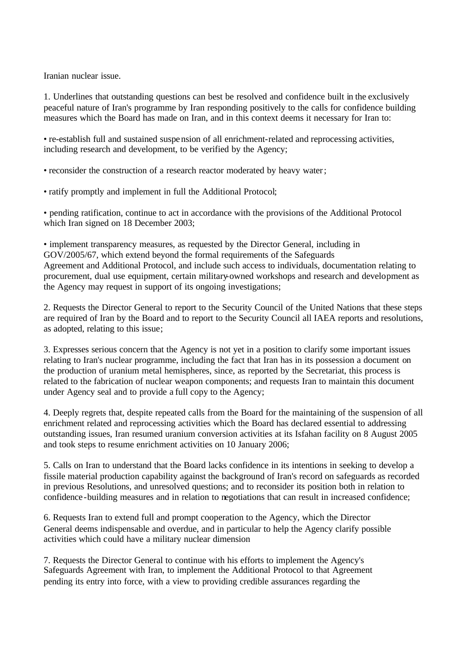Iranian nuclear issue.

1. Underlines that outstanding questions can best be resolved and confidence built in the exclusively peaceful nature of Iran's programme by Iran responding positively to the calls for confidence building measures which the Board has made on Iran, and in this context deems it necessary for Iran to:

• re-establish full and sustained suspension of all enrichment-related and reprocessing activities, including research and development, to be verified by the Agency;

• reconsider the construction of a research reactor moderated by heavy water;

• ratify promptly and implement in full the Additional Protocol;

• pending ratification, continue to act in accordance with the provisions of the Additional Protocol which Iran signed on 18 December 2003;

• implement transparency measures, as requested by the Director General, including in GOV/2005/67, which extend beyond the formal requirements of the Safeguards Agreement and Additional Protocol, and include such access to individuals, documentation relating to procurement, dual use equipment, certain military-owned workshops and research and development as the Agency may request in support of its ongoing investigations;

2. Requests the Director General to report to the Security Council of the United Nations that these steps are required of Iran by the Board and to report to the Security Council all IAEA reports and resolutions, as adopted, relating to this issue;

3. Expresses serious concern that the Agency is not yet in a position to clarify some important issues relating to Iran's nuclear programme, including the fact that Iran has in its possession a document on the production of uranium metal hemispheres, since, as reported by the Secretariat, this process is related to the fabrication of nuclear weapon components; and requests Iran to maintain this document under Agency seal and to provide a full copy to the Agency;

4. Deeply regrets that, despite repeated calls from the Board for the maintaining of the suspension of all enrichment related and reprocessing activities which the Board has declared essential to addressing outstanding issues, Iran resumed uranium conversion activities at its Isfahan facility on 8 August 2005 and took steps to resume enrichment activities on 10 January 2006;

5. Calls on Iran to understand that the Board lacks confidence in its intentions in seeking to develop a fissile material production capability against the background of Iran's record on safeguards as recorded in previous Resolutions, and unresolved questions; and to reconsider its position both in relation to confidence -building measures and in relation to negotiations that can result in increased confidence;

6. Requests Iran to extend full and prompt cooperation to the Agency, which the Director General deems indispensable and overdue, and in particular to help the Agency clarify possible activities which could have a military nuclear dimension

7. Requests the Director General to continue with his efforts to implement the Agency's Safeguards Agreement with Iran, to implement the Additional Protocol to that Agreement pending its entry into force, with a view to providing credible assurances regarding the